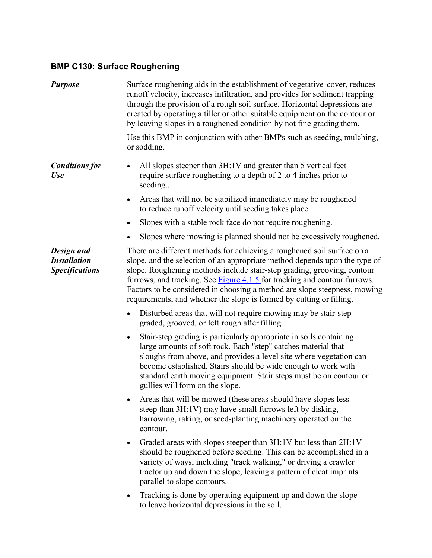## **BMP C130: Surface Roughening**

| <b>Purpose</b>                                             | Surface roughening aids in the establishment of vegetative cover, reduces<br>runoff velocity, increases infiltration, and provides for sediment trapping<br>through the provision of a rough soil surface. Horizontal depressions are<br>created by operating a tiller or other suitable equipment on the contour or<br>by leaving slopes in a roughened condition by not fine grading them.                                                                              |
|------------------------------------------------------------|---------------------------------------------------------------------------------------------------------------------------------------------------------------------------------------------------------------------------------------------------------------------------------------------------------------------------------------------------------------------------------------------------------------------------------------------------------------------------|
|                                                            | Use this BMP in conjunction with other BMPs such as seeding, mulching,<br>or sodding.                                                                                                                                                                                                                                                                                                                                                                                     |
| <b>Conditions for</b><br><b>Use</b>                        | All slopes steeper than 3H:1V and greater than 5 vertical feet<br>require surface roughening to a depth of 2 to 4 inches prior to<br>seeding                                                                                                                                                                                                                                                                                                                              |
|                                                            | Areas that will not be stabilized immediately may be roughened<br>$\bullet$<br>to reduce runoff velocity until seeding takes place.                                                                                                                                                                                                                                                                                                                                       |
|                                                            | Slopes with a stable rock face do not require roughening.<br>٠                                                                                                                                                                                                                                                                                                                                                                                                            |
|                                                            | Slopes where mowing is planned should not be excessively roughened.                                                                                                                                                                                                                                                                                                                                                                                                       |
| Design and<br><b>Installation</b><br><b>Specifications</b> | There are different methods for achieving a roughened soil surface on a<br>slope, and the selection of an appropriate method depends upon the type of<br>slope. Roughening methods include stair-step grading, grooving, contour<br>furrows, and tracking. See <b>Figure 4.1.5</b> for tracking and contour furrows.<br>Factors to be considered in choosing a method are slope steepness, mowing<br>requirements, and whether the slope is formed by cutting or filling. |
|                                                            | Disturbed areas that will not require mowing may be stair-step<br>$\bullet$<br>graded, grooved, or left rough after filling.                                                                                                                                                                                                                                                                                                                                              |
|                                                            | Stair-step grading is particularly appropriate in soils containing<br>$\bullet$<br>large amounts of soft rock. Each "step" catches material that<br>sloughs from above, and provides a level site where vegetation can<br>become established. Stairs should be wide enough to work with<br>standard earth moving equipment. Stair steps must be on contour or<br>gullies will form on the slope.                                                                          |
|                                                            | Areas that will be mowed (these areas should have slopes less<br>steep than 3H:1V) may have small furrows left by disking,<br>harrowing, raking, or seed-planting machinery operated on the<br>contour.                                                                                                                                                                                                                                                                   |
|                                                            | Graded areas with slopes steeper than 3H:1V but less than 2H:1V<br>$\bullet$<br>should be roughened before seeding. This can be accomplished in a<br>variety of ways, including "track walking," or driving a crawler<br>tractor up and down the slope, leaving a pattern of cleat imprints<br>parallel to slope contours.                                                                                                                                                |
|                                                            | Tracking is done by operating equipment up and down the slope<br>to leave horizontal depressions in the soil.                                                                                                                                                                                                                                                                                                                                                             |